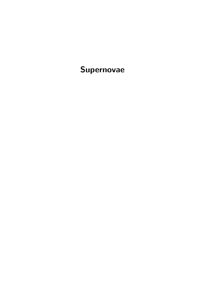Supernovae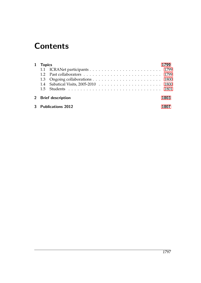## **Contents**

| 1 Topics            |  |      |
|---------------------|--|------|
|                     |  |      |
|                     |  |      |
|                     |  |      |
|                     |  |      |
|                     |  |      |
| 2 Brief description |  | 1803 |
| 3 Publications 2012 |  |      |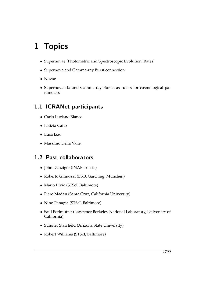# <span id="page-4-0"></span>1 Topics

- Supernovae (Photometric and Spectroscopic Evolution, Rates)
- Supernova and Gamma-ray Burst connection
- Novae
- Supernovae Ia and Gamma-ray Bursts as rulers for cosmological parameters

#### <span id="page-4-1"></span>1.1 ICRANet participants

- Carlo Luciano Bianco
- Letizia Caito
- Luca Izzo
- Massimo Della Valle

#### <span id="page-4-2"></span>1.2 Past collaborators

- John Danziger (INAF-Trieste)
- Roberto Gilmozzi (ESO, Garching, Munchen)
- Mario Livio (STScI, Baltimore)
- Piero Madau (Santa Cruz, California University)
- Nino Panagia (STScI, Baltimore)
- Saul Perlmutter (Lawrence Berkeley National Laboratory, University of California)
- Sumner Starrfield (Arizona State University)
- Robert Williams (STScI, Baltimore)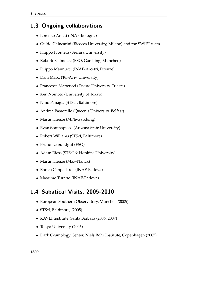### <span id="page-5-0"></span>1.3 Ongoing collaborations

- Lorenzo Amati (INAF-Bologna)
- Guido Chincarini (Bicocca University, Milano) and the SWIFT team
- Filippo Frontera (Ferrara University)
- Roberto Gilmozzi (ESO, Garching, Munchen)
- Filippo Mannucci (INAF-Arcetri, Firenze)
- Dani Maoz (Tel-Aviv University)
- Francesca Matteucci (Trieste University, Trieste)
- Ken Nomoto (University of Tokyo)
- Nino Panagia (STScI, Baltimore)
- Andrea Pastorello (Queen's University, Belfast)
- Martin Henze (MPE-Garching)
- Evan Scannapieco (Arizona State University)
- Robert Williams (STScI, Baltimore)
- Bruno Leibundgut (ESO)
- Adam Riess (STScI & Hopkins University)
- Martin Henze (Max-Planck)
- Enrico Cappellaroc (INAF-Padova)
- Massimo Turatto (INAF-Padova)

### <span id="page-5-1"></span>1.4 Sabatical Visits, 2005-2010

- European Southern Observatory, Munchen (2005)
- STScI, Baltimore, (2005)
- KAVLI Institute, Santa Barbara (2006, 2007)
- Tokyo University (2006)
- Dark Cosmology Center, Niels Bohr Institute, Copenhagen (2007)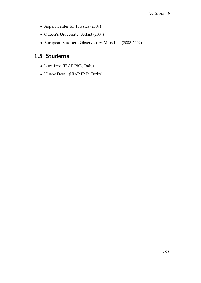- Aspen Center for Physics (2007)
- Queen's University, Belfast (2007)
- European Southern Observatory, Munchen (2008-2009)

#### <span id="page-6-0"></span>1.5 Students

- Luca Izzo (IRAP PhD, Italy)
- Husne Dereli (IRAP PhD, Turky)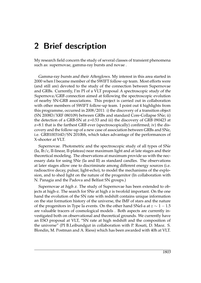### <span id="page-8-0"></span>2 Brief description

My research field concern the study of several classes of transient phenomena such as: supernovae, gamma-ray bursts and novae .

Gamma-ray bursts and their Afterglows. My interest in this area started in 2000 when I became member of the SWIFT follow-up team. Most efforts were (and still are) devoted to the study of the connection between Supernovae and GRBs. Currently, I'm PI of a VLT proposal A spectroscopic study of the Supernova/GRB connection aimed at following the spectroscopic evolution of nearby SN-GRB associations. This project is carried out in collaboration with other members of SWIFT follow-up team. I point out 4 highlights from this programme, occurred in 2008/2011: i) the discovery of a transition object (SN 2008D/XRF 080109) between GRBs and standard Core-Collapse SNe; ii) the detection of a GRB-SN at z=0.53 and iii) the discovery of GRB 090423 at z=8.1 that is the farthest GRB ever (spectroscopically) confirmed; iv) the discovery and the follow-up of a new case of association between GRBs and SNe, i.e. GRB100316D/SN 2010bh, which takes advantage of the performances of X-shooter at VLT.

Supernovae. Photometric and the spectroscopic study of all types of SNe (Ia, Ib/c, II-linear, II-plateau) near maximum light and at late stages and their theoretical modeling. The observations at maximum provide us with the necessary data for using SNe (Ia and II) as standard candles. The observations at later stages allow one to discriminate among different energy sources (i.e. radioactive decay, pulsar, light-echo), to model the mechanisms of the explosion, and to shed light on the nature of the progenitor (In collaboration with N. Panagia and the Padova and Belfast SN groups.)

Supernovae at high z. The study of Supernovae has been extended to objects at high-z. The search for SNe at high z is twofold important. On the one hand the evolution of the SN rate with redshift contains unique information on the star formation history of the universe, the IMF of stars and the nature of the progenitors in Type Ia events. On the other hand SNeI-a at *z* ∼ 1 − 1.5 are valuable tracers of cosmological models . Both aspects are currently investigated both on observational and theoretical grounds. We currently have an ESO proposal at VLT, "SN rate at high redshift and the composition of the universe" (PI B.Leibundgut in collaboration with P. Rosati, D. Maoz. S. Blondin, M. Postman and A. Riess) which has been awarded with 40h at VLT.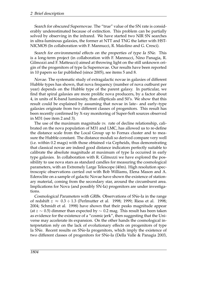Search for obscured Supernovae. The "true" value of the SN rate is considerably underestimated because of extinction. This problem can be partially solved by observing in the infrared. We have started two NIR SN searches in ultra-luminous galaxies, the former at NTT and TNG the latter with HST-NICMOS (In collaboration with F. Mannucci, R. Maiolino and G. Cresci).

Search for environmental effects on the properties of type Ia SNe. This is a long-term project (in collaboration with F. Mannucci, Nino Panagia, R. Gilmozzi and F. Matteucci) aimed at throwing light on the still unknown origin of the progenitors of type Ia Supernovae. Our results have been reported in 10 papers so far published (since 2005), see items 5 and 8.

Novae. The systematic study of extragalactic novae in galaxies of different Hubble types has shown, that nova frequency (number of nova outburst per year) depends on the Hubble type of the parent galaxy. In particular, we find that spiral galaxies are more prolific nova producers, by a factor about 4, in units of K-band luminosity, than ellipticals and S0's. We show that this result could be explained by assuming that novae in late– and early–type galaxies originate from two different classes of progenitors. This result has been recently confirmed by X-ray monitoring of Super-Soft sources observed in M31 (see item 2 and 3).

The use of the maximum magnitude *vs.* rate of decline relationship, calibrated on the nova population of M31 and LMC, has allowed us to re-define the distance scale from the Local Group up to Fornax cluster and to measure the Hubble constant. The distance moduli so derived compare very well (i.e. within 0.2 mags) with those obtained via Cepheids, thus demonstrating that classical novae are indeed good distance indicators perfectly suitable to calibrate the absolute magnitude at maximum of type Ia occurred in early type galaxies. In collaboration with R. Gilmozzi we have explored the possibility to use nova stars as standard candles for measuring the cosmological parameters, with an Extremely Large Telescope (40m). High resolution spectroscopic observations carried out with Bob Williams, Elena Mason and A. Ederoclite on a sample of galactic Novae have shown the existence of stationary material, coming from the secondary star, around the circumburst area. Implications for Nova (and possibly SN-Ia) progenitors are under investigations.

Cosmological Parameters with GRBs. Observations of SNe-Ia in the range of redshift *z* ≈ 0.3 ÷ 1.3 (Perlmutter et al. 1998; 1999; Riess et al. 1998; 2004; Schmidt et al. 1998) have shown that their peaks magnitude appear (at *z* ∼ 0.5) dimmer than expected by ∼ 0.2 mag. This result has been taken as evidence for the existence of a "cosmic jerk", then suggesting that the Universe may accelerate its expansion. On the other hands the cosmological interpretation rely on the lack of evolutionary effects on progenitors of type Ia SNe. Recent results on SNe-Ia progenitors, which imply the existence of two different classes of progenitors for SNe-Ia (Della Valle & Panagia 2003,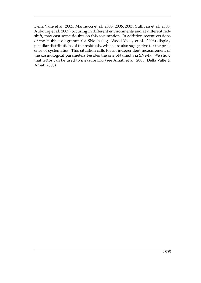Della Valle et al. 2005, Mannucci et al. 2005, 2006, 2007, Sullivan et al. 2006, Aubourg et al. 2007) occuring in different environments and at different redshift, may cast some doubts on this assumption. In addition recent versions of the Hubble diagramm for SNe-Ia (e.g. Wood-Vasey et al. 2006) display peculiar distributions of the residuals, which are also suggestive for the presence of systematics. This situation calls for an independent measurement of the cosmological parameters besides the one obtained via SNe-Ia. We show that GRBs can be used to measure Ω*<sup>M</sup>* (see Amati et al. 2008; Della Valle & Amati 2008).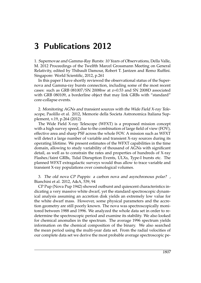### <span id="page-12-0"></span>3 Publications 2012

1. Supernovae and Gamma-Ray Bursts: 10 Years of Observations, Della Valle, M. 2012 Proceedings of the Twelfth Marcel Grossmann Meeting on General Relativity, edited by Thibault Damour, Robert T. Jantzen and Remo Ruffini. Singapore: World Scientific, 2012, p.261

In this paper I have shortly reviewed the observational status of the Supernova and Gamma-ray bursts connection, including some of the most recent cases: such as GRB 081007/SN 2008hw at z=0.53 and SN 2008D associated with GRB 080109, a borderline object that may link GRBs with "standard" core-collapse events.

2. Monitoring AGNs and transient sources with the Wide Field X-ray Telescope, Paolillo et al. 2012, Memorie della Societa Astronomica Italiana Supplement, v.19, p.264 (2012)

The Wide Field X-ray Telescope (WFXT) is a proposed mission concept with a high survey speed, due to the combination of large field of view (FOV), effective area and sharp PSF across the whole FOV. A mission such as WFXT will detect a large number of variable and transient X-ray sources during its operating lifetime. We present estimates of the WFXT capabilities in the time domain, allowing to study variability of thousand of AGNs with significant detail, as well as to constrain the rates and properties of hundreds of X-ray Flashes/faint GRBs, Tidal Disruption Events, ULXs, Type-I bursts etc. The planned WFXT extragalactic surveys would thus allow to trace variable and transient X-ray populations over cosmological volumes.

3. The old nova CP Puppis: a carbon nova and asynchronous polar? , Bianchini et al. 2012, A&A, 539, 94

CP Pup (Nova Pup 1942) showed outburst and quiescent characteristics indicating a very massive white dwarf, yet the standard spectroscopic dynamical analysis assuming an accretion disk yields an extremely low value for the white dwarf mass. However, some physical parameters and the accretion geometry are still poorly known. The nova was spectroscopically monitored between 1988 and 1996. We analyzed the whole data set in order to redetermine the spectroscopic period and examine its stability. We also looked for chemical anomalies in the spectrum. The average 1996 spectrum yields information on the chemical composition of the binary. We also searched the mean period using the multi-year data set. From the radial velocities of our complete data set we derive the most probable average spectroscopic pe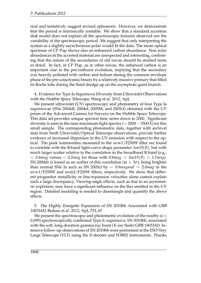riod and tentatively suggest revised ephemeris. However, we demonstrate that the period is intrinsically unstable. We show that a standard accretion disk model does not explain all the spectroscopic features observed nor the variability of the spectroscopic period. We suggest that only interpreting the system as a slightly asynchronous polar would fit the data. The mean optical spectrum of CP Pup shows also an enhanced carbon abundance. Non solar abundances in the accreted material are unexpected and interesting, confirming that the nature of the secondaries of old novae should be studied more in detail. In fact, in CP Pup, as in other novae, the enhanced carbon is an important clue to the pre-outburst evolution, implying that the secondary was heavily polluted with carbon and helium during the common envelope phase of the pre-cataclysmic binary by a relatively massive primary that filled its Roche lobe during the third dredge up on the asymptotic giant branch.

4. Evidence for Type Ia Supernova Diversity from Ultraviolet Observations with the Hubble Space Telescope, Wang et al. 2012, ApJ,

We present ultraviolet (UV) spectroscopy and photometry of four Type Ia supernovae (SNe 2004dt, 2004ef, 2005M, and 2005cf) obtained with the UV prism of the Advanced Camera for Surveys on the Hubble Space Telescope. This data set provides unique spectral time series down to 2000 . Significant diversity is seen in the near-maximum-light spectra ( $\sim 2000 - 3500\text{\AA}$ ) for this small sample. The corresponding photometric data, together with archival data from Swift Ultraviolet/Optical Telescope observations, provide further evidence of increased dispersion in the UV emission with respect to the optical. The peak luminosities measured in the uvw1/F250W filter are found to correlate with the B-band light-curve shape parameter ∆*m*15(*B*), but with much larger scatter relative to the correlation in the broadband B band (e.g., ∼ 0.4*mag* versus ∼ 0.2*mag* for those with 0.8*mag* < ∆*m*15(*B*) < 1.7*mag*). SN 2004dt is found as an outlier of this correlation (at  $> 3\sigma$ ), being brighter than normal SNe Ia such as SN 2005cf by ∼ 0.9*magand* ∼ 2.0*mag* in the uvw1/F250W and uvm2/F220W filters, respectively. We show that different progenitor metallicity or line-expansion velocities alone cannot explain such a large discrepancy. Viewing-angle effects, such as due to an asymmetric explosion, may have a significant influence on the flux emitted in the UV region. Detailed modeling is needed to disentangle and quantify the above effects.

5. The Highly Energetic Expansion of SN 2010bh Associated with GRB 100316D, Bufano et al. 2012, ApJ, 753, 67

We present the spectroscopic and photometric evolution of the nearby  $(z =$ 0.059) spectroscopically confirmed Type Ic supernova, SN 2010bh, associated with the soft, long-duration gamma-ray burst (X-ray flash) GRB 100316D. Intensive follow-up observations of SN 2010bh were performed at the ESO Very Large Telescope (VLT) using the X-shooter and FORS2 instruments. Thanks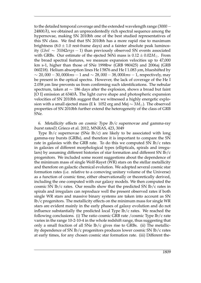to the detailed temporal coverage and the extended wavelength range (3000−  $24800\AA$ ), we obtained an unprecedentedly rich spectral sequence among the hypernovae, making SN 2010bh one of the best studied representatives of this SN class. We find that SN 2010bh has a more rapid rise to maximum brightness  $(8.0 \pm 1.0 \text{ rest-frame days})$  and a fainter absolute peak luminosity (*Lbol* ∼ 31042*ergs* − 1) than previously observed SN events associated with GRBs. Our estimate of the ejected 56Ni mass is  $0.12 \pm 0.02 M_{\odot}$ . From the broad spectral features, we measure expansion velocities up to 47,000 km s-1, higher than those of SNe 1998bw (GRB 980425) and 2006aj (GRB 060218). Helium absorption lines He I 5876 and He I 1.083 *µ*m, blueshifted by ∼ 20, 000 − 30, 000*kms* − 1 and ∼ 28, 000 − 38, 000*kms* − 1, respectively, may be present in the optical spectra. However, the lack of coverage of the He I 2.058 *µ*m line prevents us from confirming such identifications. The nebular spectrum, taken at  $\sim$  186 days after the explosion, shows a broad but faint [O I] emission at 6340Å. The light curve shape and photospheric expansion velocities of SN 2010bh suggest that we witnessed a highly energetic explosion with a small ejected mass (E k 1052 erg and Mej ∼ 3*M*). The observed properties of SN 2010bh further extend the heterogeneity of the class of GRB SNe.

6. Metallicity effects on cosmic Type  $Ib/c$  supernovae and gamma-ray burst ratesD, Grieco et al. 2012, MNRAS, 423, 3049

Type Ib/c supernovae (SNe Ib/c) are likely to be associated with long gamma-ray bursts (GRBs), and therefore it is important to compare the SN rate in galaxies with the GRB rate. To do this we computed SN Ib/c rates in galaxies of different morphological types (ellipticals, spirals and irregulars) by assuming different histories of star formation and different SN Ib/c progenitors. We included some recent suggestions about the dependence of the minimum mass of single Wolf-Rayet (WR) stars on the stellar metallicity and therefore on galactic chemical evolution. We adopted several cosmic star formation rates (i.e. relative to a comoving unitary volume of the Universe) as a function of cosmic time, either observationally or theoretically derived, including the one computed with our galaxy models. We then computed the cosmic SN Ib/c rates. Our results show that the predicted SN Ib/c rates in spirals and irregulars can reproduce well the present observed rates if both single WR stars and massive binary systems are taken into account as SN Ib/c progenitors. The metallicity effects on the minimum mass for single WR stars are evident mainly in the early phases of galaxy evolution and do not influence substantially the predicted local Type Ib/c rates. We reached the following conclusions. (i) The ratio cosmic GRB rate /cosmic Type Ib/c rate varies in the range 10-2-10-4 in the whole redshift range, thus suggesting that only a small fraction of all SNe Ib/c gives rise to GRBs. (ii) The metallicity dependence of SN Ib/c progenitors produces lower cosmic SN Ib/c rates at early times, for any chosen cosmic star formation rate. (iii) Different the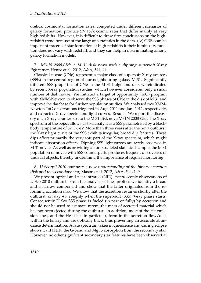oretical cosmic star formation rates, computed under different scenarios of galaxy formation, produce SN Ib/c cosmic rates that differ mainly at very high redshifts. However, it is difficult to draw firm conclusions on the highredshift trend because of the large uncertainties in the data. (iv) GRBs can be important tracers of star formation at high redshifts if their luminosity function does not vary with redshift, and they can help in discriminating among galaxy formation models.

7. M31N 2008-05d: a M 31 disk nova with a dipping supersoft X-ray lightcurve, Henze et al. 2012, A&A, 544, 44

Classical novae (CNe) represent a major class of supersoft X-ray sources (SSSs) in the central region of our neighbouring galaxy M 31. Significantly different SSS properties of CNe in the M 31 bulge and disk wereindicated by recent X-ray population studies, which however considered only a small number of disk novae. We initiated a target of opportunity (ToO) program with XMM-Newton to observe the SSS phases of CNe in the disk of M 31 and improve the database for further population studies. We analysed two XMM-Newton ToO observations triggered in Aug. 2011 and Jan. 2012, respectively, and extracted X-ray spectra and light curves. Results: We report the discovery of an X-ray counterpart to the M 31 disk nova M31N 2008-05d. The X-ray spectrum of the object allows us to classify it as a SSS parametrised by a blackbody temperature of  $32 \pm 6$  eV. More than three years after the nova outburst, the X-ray light curve of the SSS exhibits irregular, broad dip features. These dips affect primarily the very soft part of the X-ray spectrum, which might indicate absorption effects. Dipping SSS light curves are rarely observed in M 31 novae. As well as providing an unparalleled statistical sample, the M 31 population of novae with SSS counterparts produces frequent discoveries of unusual objects, thereby underlining the importance of regular monitoring.

8. U Scorpii 2010 outburst: a new understanding of the binary accretion disk and the secondary star, Mason et al. 2012, A&A, 544, 149

We present optical and near-infrared (NIR) spectroscopic observations of U Sco 2010 outburst. From the analysis of lines profiles we identify a broad and a narrow component and show that the latter originates from the reforming accretion disk. We show that the accretion resumes shortly after the outburst, on day +8, roughly when the super-soft (SSS) X-ray phase starts. Consequently U Sco SSS phase is fueled (in part or fully) by accretion and should not be used to estimate mrem, the mass of accreted material which has not been ejected during the outburst. In addition, most of the He emission lines, and the He ii lies in particular, form in the accretion flow/disk within the binary and are optically thick, thus preventing an accurate abundance determination. A late spectrum taken in quiescence and during eclipse shows Ca II H&K, the G-band and Mg ib absorption from the secondary star. However, no other significant secondary star features have been observed at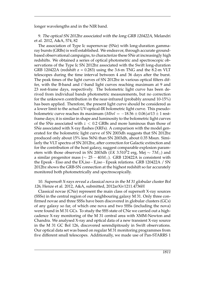longer wavelengths and in the NIR band.

9. The optical SN 2012bz associated with the long GRB 120422A, Melandri et al. 2012, A&A, 574, 82

The association of Type Ic supernovae (SNe) with long-duration gammaray bursts (GRBs) is well established. We endeavor, through accurate groundbased observational campaigns, to characterize these SNe at increasingly high redshifts. We obtained a series of optical photometric and spectroscopic observations of the Type Ic SN 2012bz associated with the Swift long-duration GRB 120422A (redshift  $z = 0.283$ ) using the 3.6-m TNG and the 8.2-m VLT telescopes during the time interval between 4 and 36 days after the burst. The peak times of the light curves of SN 2012bz in various optical filters differ, with the B-band and i'-band light curves reaching maximum at 9 and 23 rest-frame days, respectively. The bolometric light curve has been derived from individual bands photometric measurements, but no correction for the unknown contribution in the near-infrared (probably around 10-15%) has been applied. Therefore, the present light curve should be considered as a lower limit to the actual UV-optical-IR bolometric light curve. This pseudobolometric curve reaches its maximum (*Mbol* = −18.56 ± 0.06)*at*13 ± 1 restframe days; it is similar in shape and luminosity to the bolometric light curves of the SNe associated with *z* < 0.2 GRBs and more luminous than those of SNe associated with X-ray flashes (XRFs). A comparison with the model generated for the bolometric light curve of SN 2003dh suggests that SN 2012bz produced only about 15% less 56Ni than SN 2003dh, about 0.35 Msun. Similarly the VLT spectra of SN 2012bz, after correction for Galactic extinction and for the contribution of the host galaxy, suggest comparable explosion parameters with those observed in SN 2003dh (*EK* 3.510<sup>5</sup>2 erg, Mej ~  $7M_{\odot}$ ) and a similar progenitor mass ( $\sim 25 - 40M_{\odot}$ ). GRB 120422A is consistent with the Epeak - Eiso and the EX,iso - E,iso - Epeak relations. GRB 120422A / SN 2012bz shows the GRB-SN connection at the highest redshift so far accurately monitored both photometrically and spectroscopically.

#### 10. Supersoft X-rays reveal a classical nova in the M 31 globular cluster Bol 126, Henze et al. 2012, A&A, submitted, 2012arXiv1211.4736H

Classical novae (CNe) represent the main class of supersoft X-ray sources (SSSs) in the central region of our neighbouring galaxy M 31. Only three confirmed novae and three SSSs have been discovered in globular clusters (GCs) of any galaxy so far, of which one nova and two SSSs (including the nova) were found in M 31 GCs. To study the SSS state of CNe we carried out a highcadence X-ray monitoring of the M 31 central area with XMM-Newton and Chandra. We analysed X-ray and optical data of a new transient X-ray source in the M 31 GC Bol 126, discovered serendipitously in Swift observations. Our optical data set was based on regular M 31 monitoring programmes from five different small telescopes. Additionally, we made use of Pan-STARRS 1